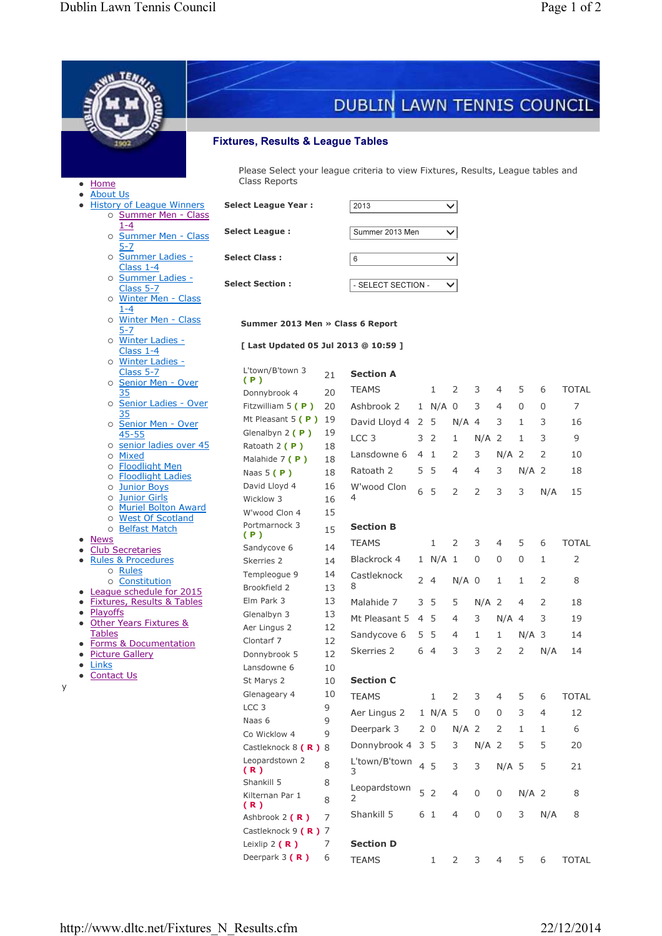|                                                                             |                                                                                                  |                                    | DUBLIN LAWN TENNIS COUNCIL       |  |                |         |                      |                |                |          |              |  |  |  |  |
|-----------------------------------------------------------------------------|--------------------------------------------------------------------------------------------------|------------------------------------|----------------------------------|--|----------------|---------|----------------------|----------------|----------------|----------|--------------|--|--|--|--|
|                                                                             |                                                                                                  |                                    |                                  |  |                |         |                      |                |                |          |              |  |  |  |  |
| <b>Fixtures, Results &amp; League Tables</b>                                |                                                                                                  |                                    |                                  |  |                |         |                      |                |                |          |              |  |  |  |  |
| • Home                                                                      | Please Select your league criteria to view Fixtures, Results, League tables and<br>Class Reports |                                    |                                  |  |                |         |                      |                |                |          |              |  |  |  |  |
| <b>About Us</b><br><b>History of League Winners</b><br>o Summer Men - Class | <b>Select League Year:</b>                                                                       |                                    |                                  |  |                |         | 2013<br>$\checkmark$ |                |                |          |              |  |  |  |  |
| $1 - 4$<br>o Summer Men - Class                                             | <b>Select League:</b>                                                                            | Summer 2013 Men<br>$\checkmark$    |                                  |  |                |         |                      |                |                |          |              |  |  |  |  |
| 5-7<br>o Summer Ladies -<br>Class $1-4$                                     | <b>Select Class:</b>                                                                             | 6<br>$\checkmark$                  |                                  |  |                |         |                      |                |                |          |              |  |  |  |  |
| o Summer Ladies -<br>Class 5-7                                              | <b>Select Section:</b>                                                                           | - SELECT SECTION -<br>$\checkmark$ |                                  |  |                |         |                      |                |                |          |              |  |  |  |  |
| o Winter Men - Class<br>1-4<br>o Winter Men - Class                         |                                                                                                  |                                    |                                  |  |                |         |                      |                |                |          |              |  |  |  |  |
| 5-7<br>o Winter Ladies -                                                    | Summer 2013 Men » Class 6 Report<br>[ Last Updated 05 Jul 2013 @ 10:59 ]                         |                                    |                                  |  |                |         |                      |                |                |          |              |  |  |  |  |
| Class $1-4$<br>o Winter Ladies -<br>Class 5-7                               | L'town/B'town 3                                                                                  |                                    |                                  |  |                |         |                      |                |                |          |              |  |  |  |  |
| o Senior Men - Over<br>35                                                   | (P)                                                                                              | 21<br>20                           | <b>Section A</b><br><b>TEAMS</b> |  | $\mathbf{1}$   | 2       | 3                    | 4              | 5              | 6        | <b>TOTAL</b> |  |  |  |  |
| o Senior Ladies - Over                                                      | Donnybrook 4<br>Fitzwilliam $5(P)$                                                               | 20                                 | Ashbrook 2                       |  | 1 N/A 0        |         | 3                    | $\overline{4}$ | 0              | $\Omega$ | 7            |  |  |  |  |
| 35<br>o Senior Men - Over                                                   | Mt Pleasant $5(P)$ 19                                                                            |                                    | David Lloyd 4                    |  | 2 <sub>5</sub> | $N/A$ 4 |                      | 3              | 1              | 3        | 16           |  |  |  |  |
| $45 - 55$                                                                   | Glenalbyn 2 $(P)$                                                                                | 19                                 | LCC <sub>3</sub>                 |  | 3 <sup>2</sup> | 1       | $N/A$ 2              |                | $\mathbf{1}$   | 3        | 9            |  |  |  |  |
| o senior ladies over 45<br><b>Mixed</b><br>O                                | Ratoath 2 $(P)$                                                                                  | 18                                 | Lansdowne 6                      |  | 4 <sub>1</sub> | 2       | 3                    | $N/A$ 2        |                | 2        | 10           |  |  |  |  |
| o Floodlight Men                                                            | Malahide 7 (P)                                                                                   | 18                                 | Ratoath 2                        |  | 5 5            | 4       | 4                    | 3              | $N/A$ 2        |          | 18           |  |  |  |  |
| o <b>Floodlight Ladies</b><br>o Junior Boys                                 | Naas $5(P)$<br>David Lloyd 4                                                                     | 18<br>16                           | W'wood Clon                      |  |                |         |                      |                |                |          |              |  |  |  |  |
| o Junior Girls                                                              | Wicklow 3                                                                                        | 16                                 | 4                                |  | 6 5            | 2       | $\overline{2}$       | 3              | 3              | N/A      | 15           |  |  |  |  |
| <b>Muriel Bolton Award</b><br>O                                             | W'wood Clon 4                                                                                    | 15                                 |                                  |  |                |         |                      |                |                |          |              |  |  |  |  |
| <b>West Of Scotland</b><br>$\circ$<br><b>Belfast Match</b><br>$\circ$       | Portmarnock 3                                                                                    | 15                                 | <b>Section B</b>                 |  |                |         |                      |                |                |          |              |  |  |  |  |
| <b>News</b>                                                                 | (P)<br>Sandycove 6                                                                               | 14                                 | <b>TEAMS</b>                     |  | 1              | 2       | 3                    | 4              | 5              | 6        | <b>TOTAL</b> |  |  |  |  |
| <b>Club Secretaries</b><br><b>Rules &amp; Procedures</b>                    | Skerries 2                                                                                       | 14                                 | Blackrock 4                      |  | 1 N/A 1        |         | 0                    | $\Omega$       | 0              |          | 2            |  |  |  |  |
| o Rules                                                                     | Templeogue 9                                                                                     | 14                                 | Castleknock                      |  | 24             |         |                      |                |                |          |              |  |  |  |  |
| o Constitution<br>League schedule for 2015<br>٠                             | Brookfield 2                                                                                     | 13                                 | 8                                |  |                | $N/A$ 0 |                      | 1              | 1              | 2        | 8            |  |  |  |  |
| <b>Fixtures, Results &amp; Tables</b>                                       | Elm Park 3                                                                                       | 13                                 | Malahide 7                       |  | 3 5            | 5       | $N/A$ 2              |                | $\overline{4}$ | 2        | 18           |  |  |  |  |
| Playoffs<br><b>Other Years Fixtures &amp;</b><br>$\bullet$                  | Glenalbyn 3                                                                                      | 13<br>12                           | Mt Pleasant 5                    |  | 4 5            | 4       | 3                    | $N/A$ 4        |                | 3        | 19           |  |  |  |  |
| Tables                                                                      | Aer Lingus 2<br>Clontarf 7                                                                       | 12                                 | Sandycove 6                      |  | 5 5            | 4       | 1                    | 1              | $N/A$ 3        |          | 14           |  |  |  |  |
| Forms & Documentation<br>$\bullet$<br><b>Picture Gallery</b>                | Donnybrook 5                                                                                     | 12                                 | Skerries 2                       |  | 6 4            | 3       | 3                    | 2              | 2              | N/A      | 14           |  |  |  |  |
| Links<br>$\bullet$                                                          | Lansdowne 6                                                                                      | 10                                 |                                  |  |                |         |                      |                |                |          |              |  |  |  |  |
| <b>Contact Us</b><br>$\bullet$<br>У                                         | St Marys 2                                                                                       | 10                                 | <b>Section C</b>                 |  |                |         |                      |                |                |          |              |  |  |  |  |
|                                                                             | Glenageary 4                                                                                     | 10                                 | <b>TEAMS</b>                     |  | 1              | 2       | 3                    | 4              | 5              | 6        | <b>TOTAL</b> |  |  |  |  |
|                                                                             | LCC <sub>3</sub><br>Naas 6                                                                       | 9<br>9                             | Aer Lingus 2                     |  | 1 N/A 5        |         | 0                    | $\mathbf 0$    | 3              | 4        | 12           |  |  |  |  |
|                                                                             | Co Wicklow 4                                                                                     | 9                                  | Deerpark 3                       |  | 2 <sub>0</sub> | $N/A$ 2 |                      | 2              | 1              | 1        | 6            |  |  |  |  |
|                                                                             | Castleknock 8 (R) 8                                                                              |                                    | Donnybrook 4                     |  | 3 <sub>5</sub> | 3       | $N/A$ 2              |                | 5              | 5        | 20           |  |  |  |  |
|                                                                             | Leopardstown 2<br>(R)                                                                            | 8                                  | L'town/B'town<br>3               |  | 4 5            | 3       | 3                    | $N/A$ 5        |                | 5        | 21           |  |  |  |  |
|                                                                             | Shankill 5                                                                                       | 8                                  | Leopardstown                     |  | 52             | 4       | $\mathsf{O}\xspace$  | 0              | $N/A$ 2        |          | 8            |  |  |  |  |
|                                                                             | Kilternan Par 1<br>(R)                                                                           | 8                                  | 2                                |  |                |         |                      |                |                |          |              |  |  |  |  |
|                                                                             | Ashbrook 2 (R)                                                                                   | 7                                  | Shankill 5                       |  | 6 1            | 4       | $\mathsf{O}\xspace$  | $\mathsf{O}$   | 3              | N/A      | 8            |  |  |  |  |
|                                                                             | Castleknock $9(R)$ 7                                                                             |                                    |                                  |  |                |         |                      |                |                |          |              |  |  |  |  |
|                                                                             | Leixlip $2(R)$                                                                                   | 7                                  | <b>Section D</b>                 |  |                |         |                      |                |                |          |              |  |  |  |  |
|                                                                             | Deerpark $3(R)$                                                                                  | 6                                  | <b>TEAMS</b>                     |  | 1              | 2       | 3                    | 4              | 5              | 6        | <b>TOTAL</b> |  |  |  |  |